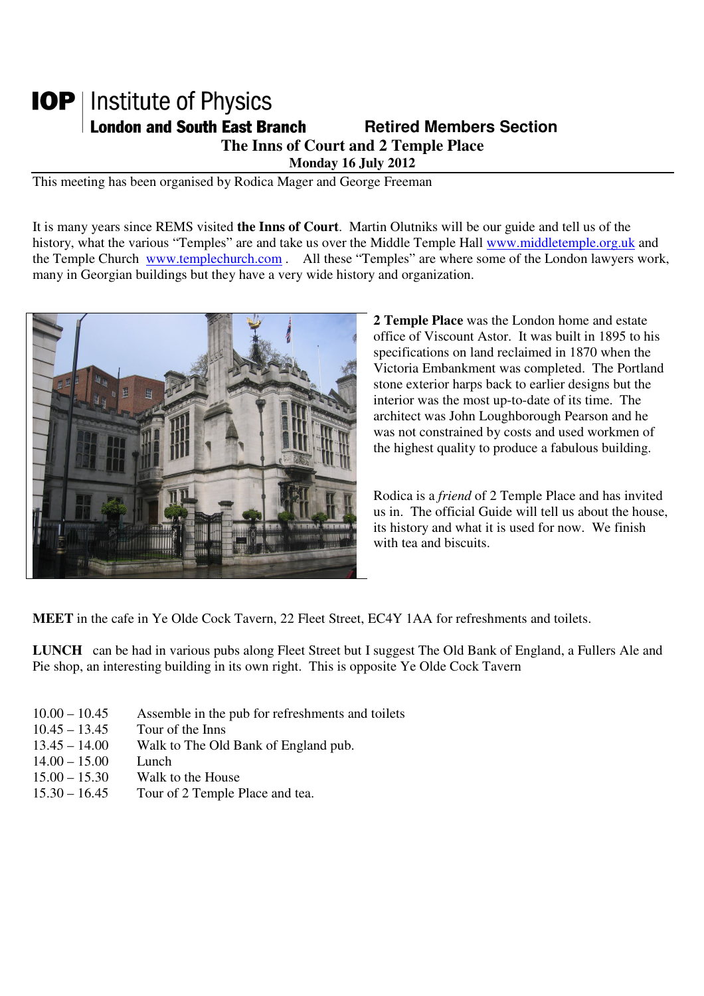## **IOP** | Institute of Physics **London and South East Branch Famely Retired Members Section The Inns of Court and 2 Temple Place Monday 16 July 2012**

This meeting has been organised by Rodica Mager and George Freeman

It is many years since REMS visited **the Inns of Court**. Martin Olutniks will be our guide and tell us of the history, what the various "Temples" are and take us over the Middle Temple Hall www.middletemple.org.uk and the Temple Church www.templechurch.com . All these "Temples" are where some of the London lawyers work, many in Georgian buildings but they have a very wide history and organization.



**2 Temple Place** was the London home and estate office of Viscount Astor. It was built in 1895 to his specifications on land reclaimed in 1870 when the Victoria Embankment was completed. The Portland stone exterior harps back to earlier designs but the interior was the most up-to-date of its time. The architect was John Loughborough Pearson and he was not constrained by costs and used workmen of the highest quality to produce a fabulous building.

Rodica is a *friend* of 2 Temple Place and has invited us in. The official Guide will tell us about the house, its history and what it is used for now. We finish with tea and biscuits.

**MEET** in the cafe in Ye Olde Cock Tavern, 22 Fleet Street, EC4Y 1AA for refreshments and toilets.

**LUNCH** can be had in various pubs along Fleet Street but I suggest The Old Bank of England, a Fullers Ale and Pie shop, an interesting building in its own right. This is opposite Ye Olde Cock Tavern

- 10.00 10.45 Assemble in the pub for refreshments and toilets
- 10.45 13.45 Tour of the Inns
- 13.45 14.00 Walk to The Old Bank of England pub.
- 14.00 15.00 Lunch
- 15.00 15.30 Walk to the House
- 15.30 16.45 Tour of 2 Temple Place and tea.